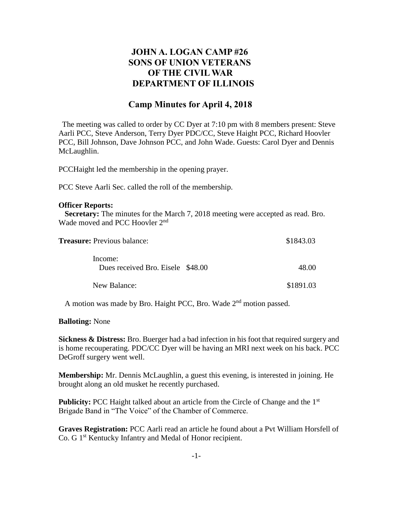## **JOHN A. LOGAN CAMP #26 SONS OF UNION VETERANS OF THE CIVIL WAR DEPARTMENT OF ILLINOIS**

## **Camp Minutes for April 4, 2018**

The meeting was called to order by CC Dyer at 7:10 pm with 8 members present: Steve Aarli PCC, Steve Anderson, Terry Dyer PDC/CC, Steve Haight PCC, Richard Hoovler PCC, Bill Johnson, Dave Johnson PCC, and John Wade. Guests: Carol Dyer and Dennis McLaughlin.

PCCHaight led the membership in the opening prayer.

PCC Steve Aarli Sec. called the roll of the membership.

## **Officer Reports:**

 **Secretary:** The minutes for the March 7, 2018 meeting were accepted as read. Bro. Wade moved and PCC Hoovler 2<sup>nd</sup>

| <b>Treasure:</b> Previous balance:           | \$1843.03 |
|----------------------------------------------|-----------|
| Income:<br>Dues received Bro. Eisele \$48.00 | 48.00     |
| New Balance:                                 | \$1891.03 |

A motion was made by Bro. Haight PCC, Bro. Wade 2<sup>nd</sup> motion passed.

**Balloting:** None

**Sickness & Distress:** Bro. Buerger had a bad infection in his foot that required surgery and is home recouperating. PDC/CC Dyer will be having an MRI next week on his back. PCC DeGroff surgery went well.

**Membership:** Mr. Dennis McLaughlin, a guest this evening, is interested in joining. He brought along an old musket he recently purchased.

**Publicity:** PCC Haight talked about an article from the Circle of Change and the 1<sup>st</sup> Brigade Band in "The Voice" of the Chamber of Commerce.

**Graves Registration:** PCC Aarli read an article he found about a Pvt William Horsfell of Co. G 1<sup>st</sup> Kentucky Infantry and Medal of Honor recipient.